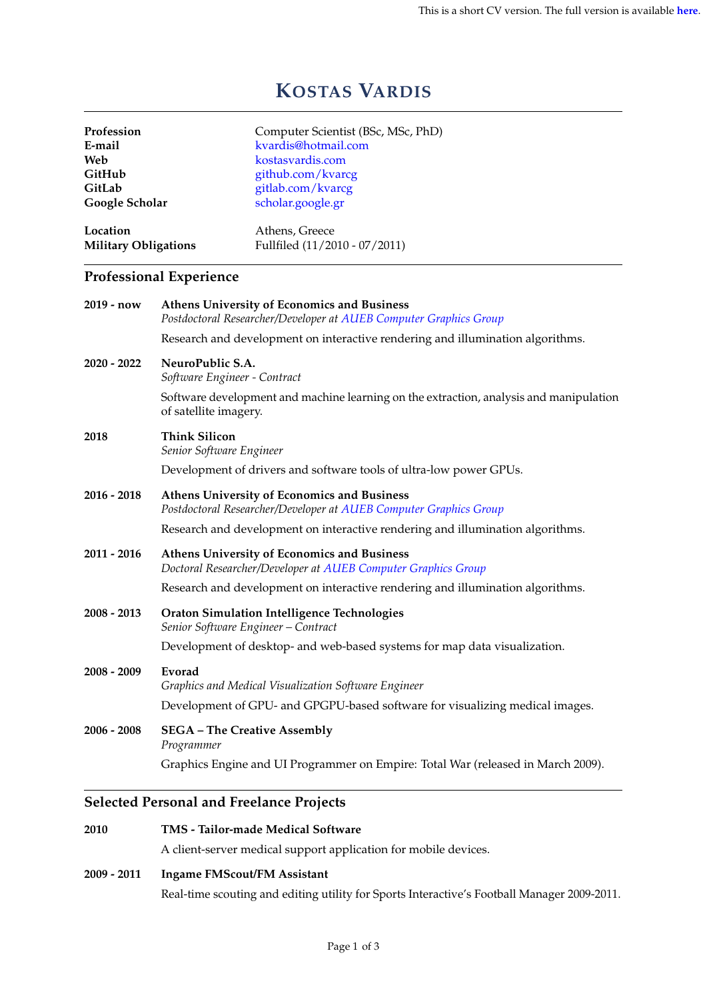# **KOSTAS VARDIS**

| Profession                              |                                                                                                                         | Computer Scientist (BSc, MSc, PhD)                                               |  |  |
|-----------------------------------------|-------------------------------------------------------------------------------------------------------------------------|----------------------------------------------------------------------------------|--|--|
| E-mail                                  |                                                                                                                         | kvardis@hotmail.com                                                              |  |  |
| Web                                     |                                                                                                                         | kostasvardis.com                                                                 |  |  |
| GitHub                                  |                                                                                                                         | github.com/kvarcg                                                                |  |  |
| GitLab                                  |                                                                                                                         | gitlab.com/kvarcg                                                                |  |  |
| Google Scholar                          |                                                                                                                         | scholar.google.gr                                                                |  |  |
| Location<br><b>Military Obligations</b> |                                                                                                                         | Athens, Greece                                                                   |  |  |
|                                         |                                                                                                                         | Fullfiled (11/2010 - 07/2011)                                                    |  |  |
|                                         | <b>Professional Experience</b>                                                                                          |                                                                                  |  |  |
| 2019 - now                              | <b>Athens University of Economics and Business</b><br>Postdoctoral Researcher/Developer at AUEB Computer Graphics Group |                                                                                  |  |  |
|                                         |                                                                                                                         | Research and development on interactive rendering and illumination algorithms.   |  |  |
| 2020 - 2022                             | NeuroPublic S.A.<br>Software Engineer - Contract                                                                        |                                                                                  |  |  |
|                                         | Software development and machine learning on the extraction, analysis and manipulation<br>of satellite imagery.         |                                                                                  |  |  |
| 2018                                    | <b>Think Silicon</b><br>Senior Software Engineer                                                                        |                                                                                  |  |  |
|                                         | Development of drivers and software tools of ultra-low power GPUs.                                                      |                                                                                  |  |  |
| 2016 - 2018                             | Athens University of Economics and Business<br>Postdoctoral Researcher/Developer at AUEB Computer Graphics Group        |                                                                                  |  |  |
|                                         | Research and development on interactive rendering and illumination algorithms.                                          |                                                                                  |  |  |
| 2011 - 2016                             | Athens University of Economics and Business<br>Doctoral Researcher/Developer at AUEB Computer Graphics Group            |                                                                                  |  |  |
|                                         | Research and development on interactive rendering and illumination algorithms.                                          |                                                                                  |  |  |
| 2008 - 2013                             | Oraton Simulation Intelligence Technologies<br>Senior Software Engineer - Contract                                      |                                                                                  |  |  |
|                                         |                                                                                                                         | Development of desktop- and web-based systems for map data visualization.        |  |  |
| 2008 - 2009                             | Evorad                                                                                                                  | Graphics and Medical Visualization Software Engineer                             |  |  |
|                                         |                                                                                                                         | Development of GPU- and GPGPU-based software for visualizing medical images.     |  |  |
| 2006 - 2008                             | <b>SEGA - The Creative Assembly</b><br>Programmer                                                                       |                                                                                  |  |  |
|                                         |                                                                                                                         | Graphics Engine and UI Programmer on Empire: Total War (released in March 2009). |  |  |
|                                         | <b>Selected Personal and Freelance Projects</b>                                                                         |                                                                                  |  |  |
|                                         |                                                                                                                         |                                                                                  |  |  |

## **2010 [TMS - Tailor-made Medical Software](https://tms.com.gr)**

A client-server medical support application for mobile devices.

### **2009 - 2011 Ingame FMScout/FM Assistant**

Real-time scouting and editing utility for Sports Interactive's Football Manager 2009-2011.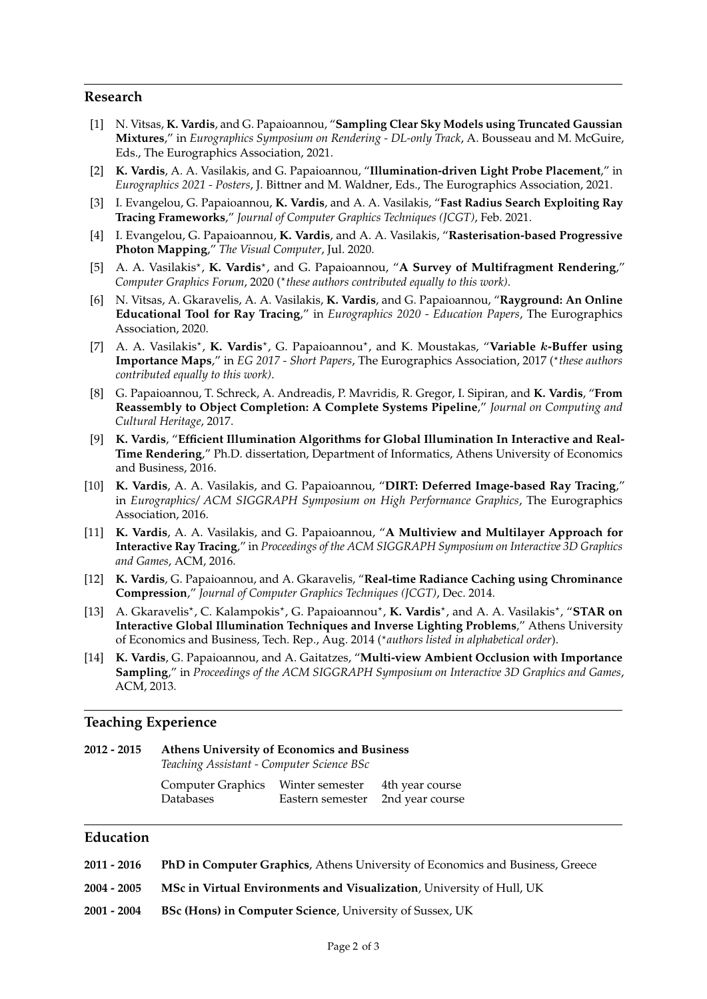#### **Research**

- [1] N. Vitsas, **K. Vardis**, and G. Papaioannou, "**Sampling Clear Sky Models using Truncated Gaussian Mixtures**," in *Eurographics Symposium on Rendering - DL-only Track*, A. Bousseau and M. McGuire, Eds., The Eurographics Association, 2021.
- [2] **K. Vardis**, A. A. Vasilakis, and G. Papaioannou, "**Illumination-driven Light Probe Placement**," in *Eurographics 2021 - Posters*, J. Bittner and M. Waldner, Eds., The Eurographics Association, 2021.
- [3] I. Evangelou, G. Papaioannou, **K. Vardis**, and A. A. Vasilakis, "**Fast Radius Search Exploiting Ray Tracing Frameworks**," *Journal of Computer Graphics Techniques (JCGT)*, Feb. 2021.
- [4] I. Evangelou, G. Papaioannou, **K. Vardis**, and A. A. Vasilakis, "**Rasterisation-based Progressive Photon Mapping**," *The Visual Computer*, Jul. 2020.
- [5] A. A. Vasilakis<sup>\*</sup>, K. Vardis<sup>\*</sup>, and G. Papaioannou, "A Survey of Multifragment Rendering," Computer Graphics Forum, 2020 (\*these authors contributed equally to this work).
- [6] N. Vitsas, A. Gkaravelis, A. A. Vasilakis, **K. Vardis**, and G. Papaioannou, "**Rayground: An Online Educational Tool for Ray Tracing**," in *Eurographics 2020 - Education Papers*, The Eurographics Association, 2020.
- [7] A. A. Vasilakis<sup>\*</sup>, K. Vardis<sup>\*</sup>, G. Papaioannou<sup>\*</sup>, and K. Moustakas, "Variable k-Buffer using Importance Maps," in *EG 2017 - Short Papers*, The Eurographics Association, 2017 (\*these authors *contributed equally to this work)*.
- [8] G. Papaioannou, T. Schreck, A. Andreadis, P. Mavridis, R. Gregor, I. Sipiran, and **K. Vardis**, "**From Reassembly to Object Completion: A Complete Systems Pipeline**," *Journal on Computing and Cultural Heritage*, 2017.
- [9] **K. Vardis**, "**Efficient Illumination Algorithms for Global Illumination In Interactive and Real-Time Rendering**," Ph.D. dissertation, Department of Informatics, Athens University of Economics and Business, 2016.
- [10] **K. Vardis**, A. A. Vasilakis, and G. Papaioannou, "**DIRT: Deferred Image-based Ray Tracing**," in *Eurographics/ ACM SIGGRAPH Symposium on High Performance Graphics*, The Eurographics Association, 2016.
- [11] **K. Vardis**, A. A. Vasilakis, and G. Papaioannou, "**A Multiview and Multilayer Approach for Interactive Ray Tracing**," in *Proceedings of the ACM SIGGRAPH Symposium on Interactive 3D Graphics and Games*, ACM, 2016.
- [12] **K. Vardis**, G. Papaioannou, and A. Gkaravelis, "**Real-time Radiance Caching using Chrominance Compression**," *Journal of Computer Graphics Techniques (JCGT)*, Dec. 2014.
- [13] A. Gkaravelis<sup>\*</sup>, C. Kalampokis<sup>\*</sup>, G. Papaioannou<sup>\*</sup>, **K. Vardis**<sup>\*</sup>, and A. A. Vasilakis<sup>\*</sup>, "**STAR on Interactive Global Illumination Techniques and Inverse Lighting Problems**," Athens University of Economics and Business, Tech. Rep., Aug. 2014 (\*authors listed in alphabetical order).
- [14] **K. Vardis**, G. Papaioannou, and A. Gaitatzes, "**Multi-view Ambient Occlusion with Importance Sampling**," in *Proceedings of the ACM SIGGRAPH Symposium on Interactive 3D Graphics and Games*, ACM, 2013.

#### **Teaching Experience**

*Teaching Assistant - Computer Science BSc*

| Computer Graphics | Winter semester  | 4th year course |
|-------------------|------------------|-----------------|
| Databases         | Eastern semester | 2nd year course |

# **Education**

- **2011 2016 PhD in Computer Graphics**, Athens University of Economics and Business, Greece
- **2004 2005 MSc in Virtual Environments and Visualization**, University of Hull, UK
- **2001 2004 BSc (Hons) in Computer Science**, University of Sussex, UK